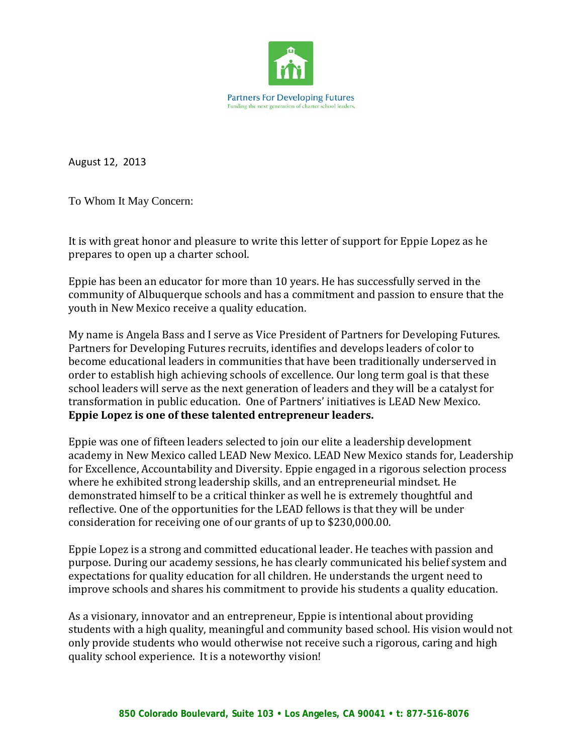

August 12, 2013

To Whom It May Concern:

It is with great honor and pleasure to write this letter of support for Eppie Lopez as he prepares to open up a charter school.

Eppie has been an educator for more than 10 years. He has successfully served in the community of Albuquerque schools and has a commitment and passion to ensure that the youth in New Mexico receive a quality education.

My name is Angela Bass and I serve as Vice President of Partners for Developing Futures. Partners for Developing Futures recruits, identifies and develops leaders of color to become educational leaders in communities that have been traditionally underserved in order to establish high achieving schools of excellence. Our long term goal is that these school leaders will serve as the next generation of leaders and they will be a catalyst for transformation in public education. One of Partners' initiatives is LEAD New Mexico. **Eppie Lopez is one of these talented entrepreneur leaders.**

Eppie was one of fifteen leaders selected to join our elite a leadership development academy in New Mexico called LEAD New Mexico. LEAD New Mexico stands for, Leadership for Excellence, Accountability and Diversity. Eppie engaged in a rigorous selection process where he exhibited strong leadership skills, and an entrepreneurial mindset. He demonstrated himself to be a critical thinker as well he is extremely thoughtful and reflective. One of the opportunities for the LEAD fellows is that they will be under consideration for receiving one of our grants of up to \$230,000.00.

Eppie Lopez is a strong and committed educational leader. He teaches with passion and purpose. During our academy sessions, he has clearly communicated his belief system and expectations for quality education for all children. He understands the urgent need to improve schools and shares his commitment to provide his students a quality education.

As a visionary, innovator and an entrepreneur, Eppie is intentional about providing students with a high quality, meaningful and community based school. His vision would not only provide students who would otherwise not receive such a rigorous, caring and high quality school experience. It is a noteworthy vision!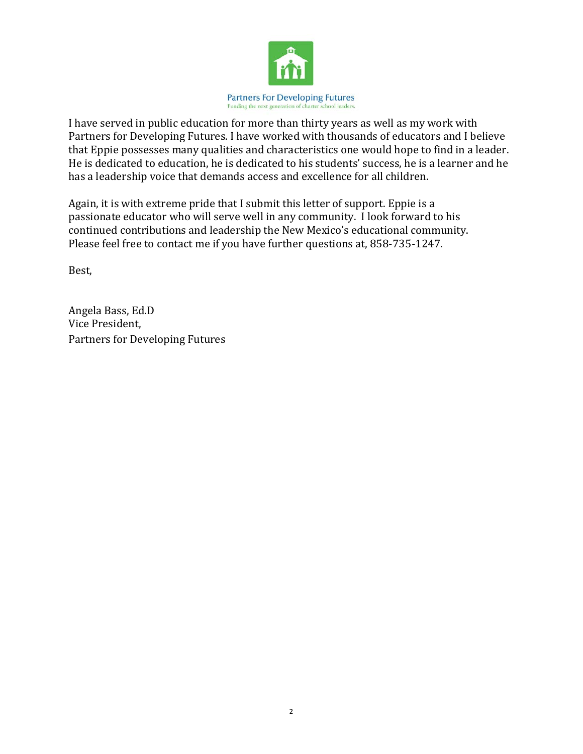

I have served in public education for more than thirty years as well as my work with Partners for Developing Futures. I have worked with thousands of educators and I believe that Eppie possesses many qualities and characteristics one would hope to find in a leader. He is dedicated to education, he is dedicated to his students' success, he is a learner and he has a leadership voice that demands access and excellence for all children.

Again, it is with extreme pride that I submit this letter of support. Eppie is a passionate educator who will serve well in any community. I look forward to his continued contributions and leadership the New Mexico's educational community. Please feel free to contact me if you have further questions at, 858-735-1247.

Best,

Angela Bass, Ed.D Vice President, Partners for Developing Futures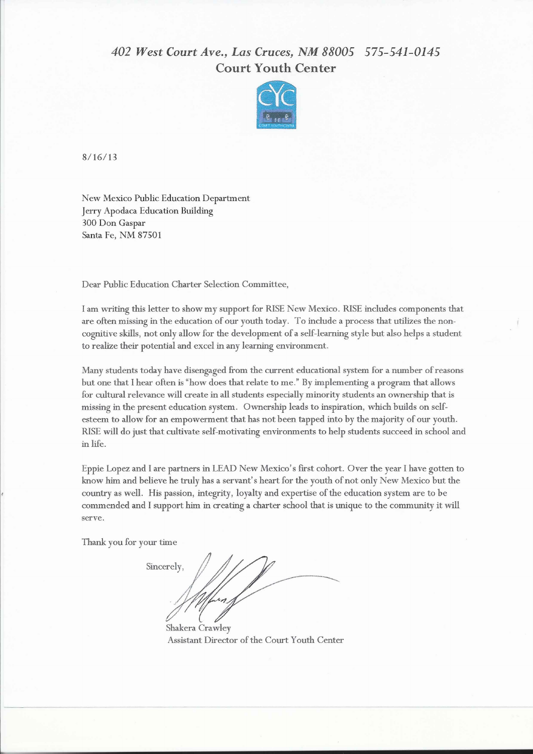## 402 West Court Ave., Las Cruces, NM 88005 575-541-0145 **Court Youth Center**



 $8/16/13$ 

New Mexico Public Education Department Jerry Apodaca Education Building 300 Don Gaspar Santa Fe, NM 87501

Dear Public Education Charter Selection Committee,

I am writing this letter to show my support for RISE New Mexico. RISE includes components that are often missing in the education of our youth today. To include a process that utilizes the noncognitive skills, not only allow for the development of a self-learning style but also helps a student to realize their potential and excel in any learning environment.

Many students today have disengaged from the current educational system for a number of reasons but one that I hear often is "how does that relate to me." By implementing a program that allows for cultural relevance will create in all students especially minority students an ownership that is missing in the present education system. Ownership leads to inspiration, which builds on selfesteem to allow for an empowerment that has not been tapped into by the majority of our youth. RISE will do just that cultivate self-motivating environments to help students succeed in school and in life.

Eppie Lopez and I are partners in LEAD New Mexico's first cohort. Over the year I have gotten to know him and believe he truly has a servant's heart for the youth of not only New Mexico but the country as well. His passion, integrity, loyalty and expertise of the education system are to be commended and I support him in creating a charter school that is unique to the community it will serve.

Thank you for your time

Sincerely.

Shakera Crawley Assistant Director of the Court Youth Center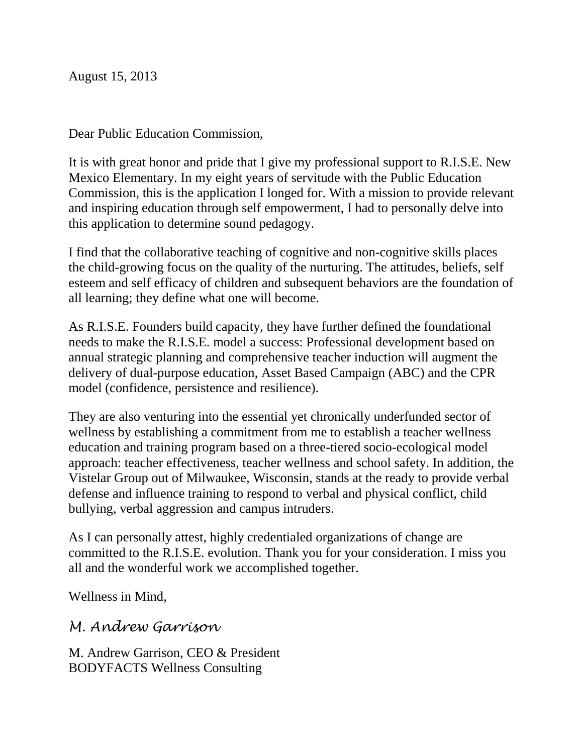August 15, 2013

Dear Public Education Commission,

It is with great honor and pride that I give my professional support to R.I.S.E. New Mexico Elementary. In my eight years of servitude with the Public Education Commission, this is the application I longed for. With a mission to provide relevant and inspiring education through self empowerment, I had to personally delve into this application to determine sound pedagogy.

I find that the collaborative teaching of cognitive and non-cognitive skills places the child-growing focus on the quality of the nurturing. The attitudes, beliefs, self esteem and self efficacy of children and subsequent behaviors are the foundation of all learning; they define what one will become.

As R.I.S.E. Founders build capacity, they have further defined the foundational needs to make the R.I.S.E. model a success: Professional development based on annual strategic planning and comprehensive teacher induction will augment the delivery of dual-purpose education, Asset Based Campaign (ABC) and the CPR model (confidence, persistence and resilience).

They are also venturing into the essential yet chronically underfunded sector of wellness by establishing a commitment from me to establish a teacher wellness education and training program based on a three-tiered socio-ecological model approach: teacher effectiveness, teacher wellness and school safety. In addition, the Vistelar Group out of Milwaukee, Wisconsin, stands at the ready to provide verbal defense and influence training to respond to verbal and physical conflict, child bullying, verbal aggression and campus intruders.

As I can personally attest, highly credentialed organizations of change are committed to the R.I.S.E. evolution. Thank you for your consideration. I miss you all and the wonderful work we accomplished together.

Wellness in Mind,

## *M. Andrew Garrison*

M. Andrew Garrison, CEO & President BODYFACTS Wellness Consulting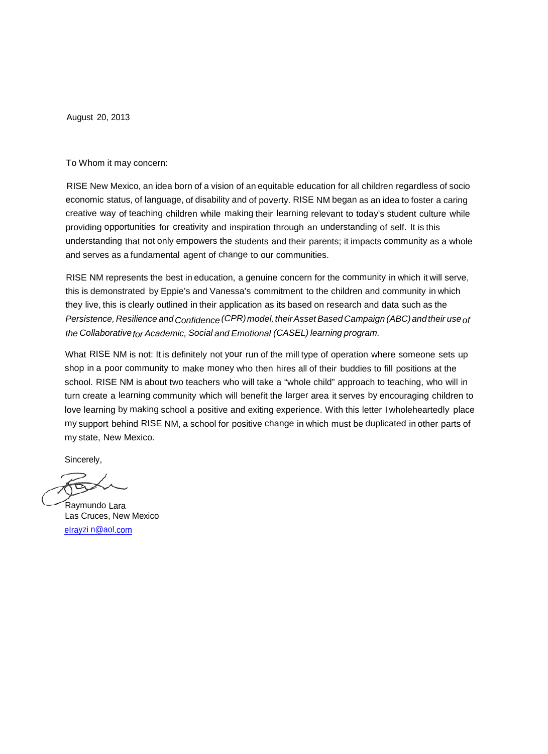August 20, 2013

To Whom it may concern:

RISE New Mexico, an idea born of a vision of an equitable education for all children regardless of socio economic status, of language, of disability and of poverty. RISE NM began as an idea to foster a caring creative way of teaching children while making their learning relevant to today's student culture while providing opportunities for creativity and inspiration through an understanding of self. It is this understanding that not only empowers the students and their parents; it impacts community as a whole and serves as a fundamental agent of change to our communities.

RISE NM represents the best in education, a genuine concern for the community in which it will serve, this is demonstrated by Eppie's and Vanessa's commitment to the children and community in which they live, this is clearly outlined in their application as its based on research and data such as the *Persistence,* Resilience and Confidence (CPR) model, their Asset Based Campaign (ABC) and their use of *the Collaborativefor Academic, Social and Emotional (CASEL) learning program.*

What RISE NM is not: It is definitely not your run of the mill type of operation where someone sets up shop in a poor community to make money who then hires all of their buddies to fill positions at the school. RISE NM is about two teachers who will take a "whole child" approach to teaching, who will in turn create a learning community which will benefit the larger area it serves by encouraging children to love learning by making school a positive and exiting experience. With this letter I wholeheartedly place my support behind RISE NM, a school for positive change in which must be duplicated in other parts of my state, New Mexico.

Sincerely,

Raymundo Lara Las Cruces, New Mexico eIrayzi [n@aol.corn](mailto:eIrayzi%20n@aol.corn)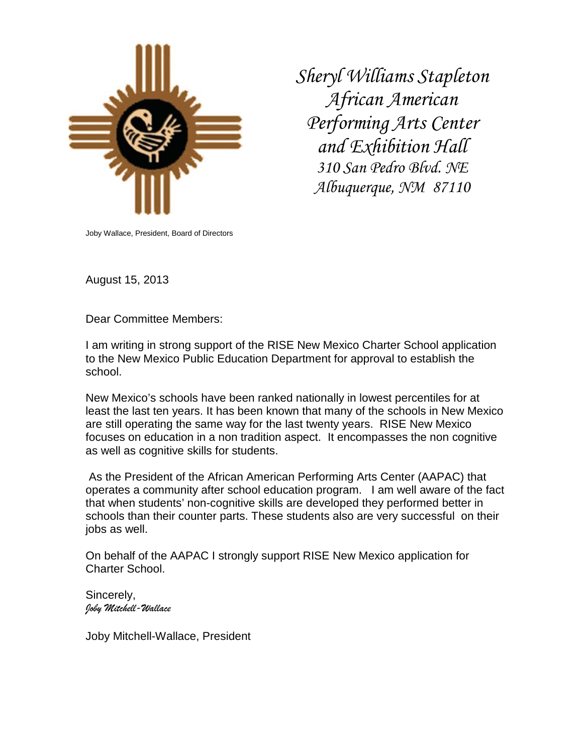

*Sheryl Williams Stapleton African American Performing Arts Center and Exhibition Hall 310 San Pedro Blvd. NE Albuquerque, NM 87110*

Joby Wallace, President, Board of Directors

August 15, 2013

Dear Committee Members:

I am writing in strong support of the RISE New Mexico Charter School application to the New Mexico Public Education Department for approval to establish the school.

New Mexico's schools have been ranked nationally in lowest percentiles for at least the last ten years. It has been known that many of the schools in New Mexico are still operating the same way for the last twenty years. RISE New Mexico focuses on education in a non tradition aspect. It encompasses the non cognitive as well as cognitive skills for students.

As the President of the African American Performing Arts Center (AAPAC) that operates a community after school education program. I am well aware of the fact that when students' non-cognitive skills are developed they performed better in schools than their counter parts. These students also are very successful on their jobs as well.

On behalf of the AAPAC I strongly support RISE New Mexico application for Charter School.

Sincerely, *Joby Mitchell-Wallace*

Joby Mitchell-Wallace, President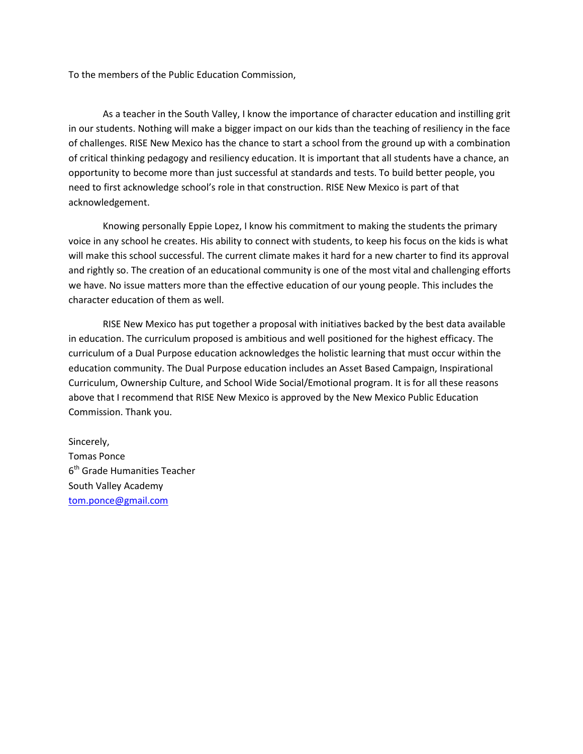To the members of the Public Education Commission,

As a teacher in the South Valley, I know the importance of character education and instilling grit in our students. Nothing will make a bigger impact on our kids than the teaching of resiliency in the face of challenges. RISE New Mexico has the chance to start a school from the ground up with a combination of critical thinking pedagogy and resiliency education. It is important that all students have a chance, an opportunity to become more than just successful at standards and tests. To build better people, you need to first acknowledge school's role in that construction. RISE New Mexico is part of that acknowledgement.

Knowing personally Eppie Lopez, I know his commitment to making the students the primary voice in any school he creates. His ability to connect with students, to keep his focus on the kids is what will make this school successful. The current climate makes it hard for a new charter to find its approval and rightly so. The creation of an educational community is one of the most vital and challenging efforts we have. No issue matters more than the effective education of our young people. This includes the character education of them as well.

RISE New Mexico has put together a proposal with initiatives backed by the best data available in education. The curriculum proposed is ambitious and well positioned for the highest efficacy. The curriculum of a Dual Purpose education acknowledges the holistic learning that must occur within the education community. The Dual Purpose education includes an Asset Based Campaign, Inspirational Curriculum, Ownership Culture, and School Wide Social/Emotional program. It is for all these reasons above that I recommend that RISE New Mexico is approved by the New Mexico Public Education Commission. Thank you.

Sincerely, Tomas Ponce 6<sup>th</sup> Grade Humanities Teacher South Valley Academy [tom.ponce@gmail.com](mailto:tom.ponce@gmail.com)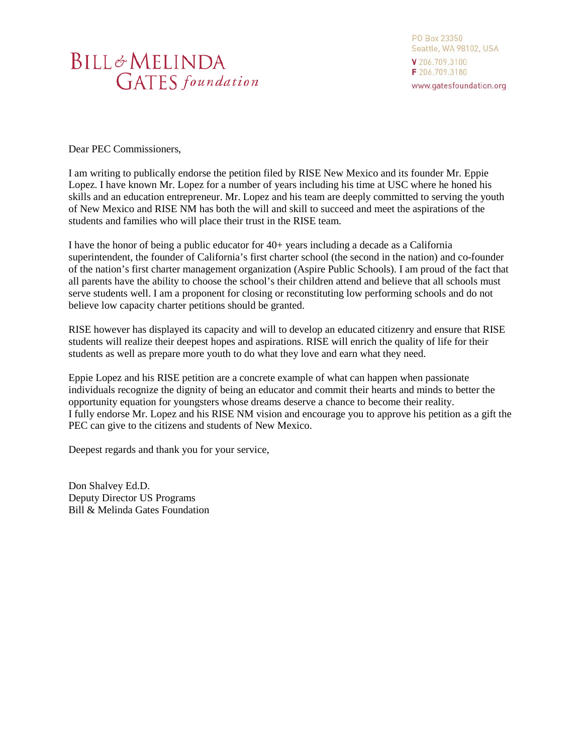## **BILL&MELINDA GATES** foundation

PO Box 23350 Seattle, WA 98102, USA V 206.709.3100 F 206.709.3180 www.gatesfoundation.org

Dear PEC Commissioners,

I am writing to publically endorse the petition filed by RISE New Mexico and its founder Mr. Eppie Lopez. I have known Mr. Lopez for a number of years including his time at USC where he honed his skills and an education entrepreneur. Mr. Lopez and his team are deeply committed to serving the youth of New Mexico and RISE NM has both the will and skill to succeed and meet the aspirations of the students and families who will place their trust in the RISE team.

I have the honor of being a public educator for 40+ years including a decade as a California superintendent, the founder of California's first charter school (the second in the nation) and co-founder of the nation's first charter management organization (Aspire Public Schools). I am proud of the fact that all parents have the ability to choose the school's their children attend and believe that all schools must serve students well. I am a proponent for closing or reconstituting low performing schools and do not believe low capacity charter petitions should be granted.

RISE however has displayed its capacity and will to develop an educated citizenry and ensure that RISE students will realize their deepest hopes and aspirations. RISE will enrich the quality of life for their students as well as prepare more youth to do what they love and earn what they need.

Eppie Lopez and his RISE petition are a concrete example of what can happen when passionate individuals recognize the dignity of being an educator and commit their hearts and minds to better the opportunity equation for youngsters whose dreams deserve a chance to become their reality. I fully endorse Mr. Lopez and his RISE NM vision and encourage you to approve his petition as a gift the PEC can give to the citizens and students of New Mexico.

Deepest regards and thank you for your service,

Don Shalvey Ed.D. Deputy Director US Programs Bill & Melinda Gates Foundation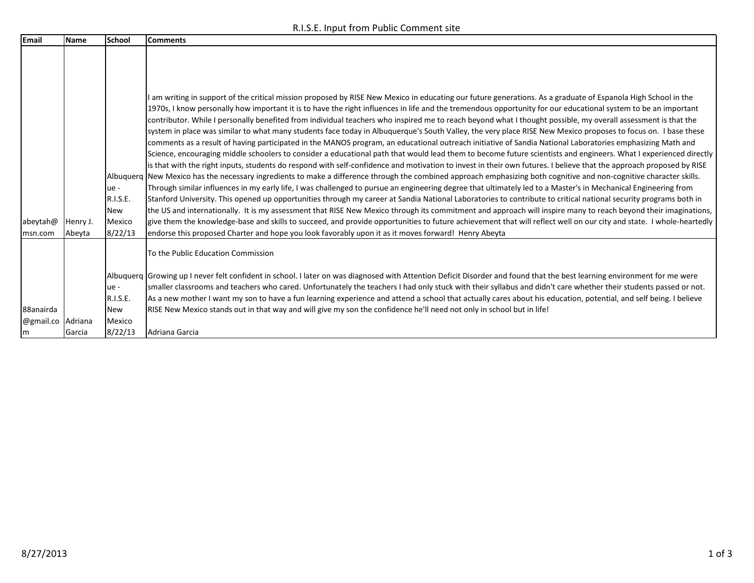R.I.S.E. Input from Public Comment site

| Email     | Name     | School                  | <b>Comments</b>                                                                                                                                                                                                                                                                                                                                                                                                                                                                                                                                                                                                                                                                                                                                                                                                                                                                                                                                                                                                                                                                                                                                                                                                                                                                                                                                                                                                                                                                                                                                                                                                                                                                                                                                                                                                                                           |
|-----------|----------|-------------------------|-----------------------------------------------------------------------------------------------------------------------------------------------------------------------------------------------------------------------------------------------------------------------------------------------------------------------------------------------------------------------------------------------------------------------------------------------------------------------------------------------------------------------------------------------------------------------------------------------------------------------------------------------------------------------------------------------------------------------------------------------------------------------------------------------------------------------------------------------------------------------------------------------------------------------------------------------------------------------------------------------------------------------------------------------------------------------------------------------------------------------------------------------------------------------------------------------------------------------------------------------------------------------------------------------------------------------------------------------------------------------------------------------------------------------------------------------------------------------------------------------------------------------------------------------------------------------------------------------------------------------------------------------------------------------------------------------------------------------------------------------------------------------------------------------------------------------------------------------------------|
|           |          | ue -<br>R.I.S.E.<br>New | I am writing in support of the critical mission proposed by RISE New Mexico in educating our future generations. As a graduate of Espanola High School in the<br>1970s, I know personally how important it is to have the right influences in life and the tremendous opportunity for our educational system to be an important<br>contributor. While I personally benefited from individual teachers who inspired me to reach beyond what I thought possible, my overall assessment is that the<br>system in place was similar to what many students face today in Albuquerque's South Valley, the very place RISE New Mexico proposes to focus on. I base these<br>comments as a result of having participated in the MANOS program, an educational outreach initiative of Sandia National Laboratories emphasizing Math and<br>Science, encouraging middle schoolers to consider a educational path that would lead them to become future scientists and engineers. What I experienced directly<br>is that with the right inputs, students do respond with self-confidence and motivation to invest in their own futures. I believe that the approach proposed by RISE<br>Albuquerg New Mexico has the necessary ingredients to make a difference through the combined approach emphasizing both cognitive and non-cognitive character skills.<br>Through similar influences in my early life, I was challenged to pursue an engineering degree that ultimately led to a Master's in Mechanical Engineering from<br>Stanford University. This opened up opportunities through my career at Sandia National Laboratories to contribute to critical national security programs both in<br>the US and internationally. It is my assessment that RISE New Mexico through its commitment and approach will inspire many to reach beyond their imaginations, |
| abeytah@  | Henry J. | Mexico                  | give them the knowledge-base and skills to succeed, and provide opportunities to future achievement that will reflect well on our city and state. I whole-heartedly                                                                                                                                                                                                                                                                                                                                                                                                                                                                                                                                                                                                                                                                                                                                                                                                                                                                                                                                                                                                                                                                                                                                                                                                                                                                                                                                                                                                                                                                                                                                                                                                                                                                                       |
| msn.com   | Abeyta   | 8/22/13                 | endorse this proposed Charter and hope you look favorably upon it as it moves forward! Henry Abeyta                                                                                                                                                                                                                                                                                                                                                                                                                                                                                                                                                                                                                                                                                                                                                                                                                                                                                                                                                                                                                                                                                                                                                                                                                                                                                                                                                                                                                                                                                                                                                                                                                                                                                                                                                       |
|           |          |                         | To the Public Education Commission                                                                                                                                                                                                                                                                                                                                                                                                                                                                                                                                                                                                                                                                                                                                                                                                                                                                                                                                                                                                                                                                                                                                                                                                                                                                                                                                                                                                                                                                                                                                                                                                                                                                                                                                                                                                                        |
|           |          |                         | Albuquerq Growing up I never felt confident in school. I later on was diagnosed with Attention Deficit Disorder and found that the best learning environment for me were                                                                                                                                                                                                                                                                                                                                                                                                                                                                                                                                                                                                                                                                                                                                                                                                                                                                                                                                                                                                                                                                                                                                                                                                                                                                                                                                                                                                                                                                                                                                                                                                                                                                                  |
|           |          | ue -                    | smaller classrooms and teachers who cared. Unfortunately the teachers I had only stuck with their syllabus and didn't care whether their students passed or not.                                                                                                                                                                                                                                                                                                                                                                                                                                                                                                                                                                                                                                                                                                                                                                                                                                                                                                                                                                                                                                                                                                                                                                                                                                                                                                                                                                                                                                                                                                                                                                                                                                                                                          |
|           |          | R.I.S.E.                | As a new mother I want my son to have a fun learning experience and attend a school that actually cares about his education, potential, and self being. I believe                                                                                                                                                                                                                                                                                                                                                                                                                                                                                                                                                                                                                                                                                                                                                                                                                                                                                                                                                                                                                                                                                                                                                                                                                                                                                                                                                                                                                                                                                                                                                                                                                                                                                         |
| 88anairda |          | <b>New</b>              | RISE New Mexico stands out in that way and will give my son the confidence he'll need not only in school but in life!                                                                                                                                                                                                                                                                                                                                                                                                                                                                                                                                                                                                                                                                                                                                                                                                                                                                                                                                                                                                                                                                                                                                                                                                                                                                                                                                                                                                                                                                                                                                                                                                                                                                                                                                     |
| @gmail.co | Adriana  | Mexico                  |                                                                                                                                                                                                                                                                                                                                                                                                                                                                                                                                                                                                                                                                                                                                                                                                                                                                                                                                                                                                                                                                                                                                                                                                                                                                                                                                                                                                                                                                                                                                                                                                                                                                                                                                                                                                                                                           |
| m         | Garcia   | 8/22/13                 | Adriana Garcia                                                                                                                                                                                                                                                                                                                                                                                                                                                                                                                                                                                                                                                                                                                                                                                                                                                                                                                                                                                                                                                                                                                                                                                                                                                                                                                                                                                                                                                                                                                                                                                                                                                                                                                                                                                                                                            |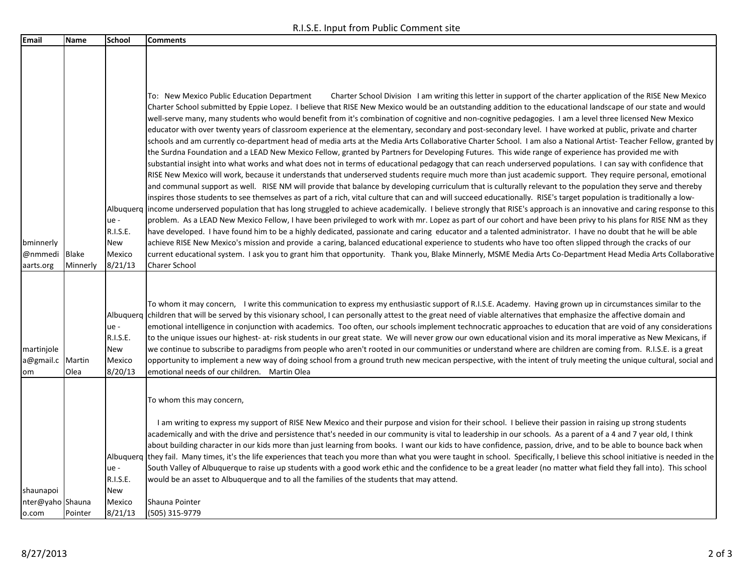R.I.S.E. Input from Public Comment site

| Email                                  | Name              | <b>School</b>                                             | <b>Comments</b>                                                                                                                                                                                                                                                                                                                                                                                                                                                                                                                                                                                                                                                                                                                                                                                                                                                                                                                                                                                                                                                                                                                                                                                                                                                                                                                                                                                                                                                                                                                                                                                                                                                                                                                                                                                                                                                                                                                                                                                                                                                                                                                                                                                                                                                                                                                                                                                                                                                                                                                 |
|----------------------------------------|-------------------|-----------------------------------------------------------|---------------------------------------------------------------------------------------------------------------------------------------------------------------------------------------------------------------------------------------------------------------------------------------------------------------------------------------------------------------------------------------------------------------------------------------------------------------------------------------------------------------------------------------------------------------------------------------------------------------------------------------------------------------------------------------------------------------------------------------------------------------------------------------------------------------------------------------------------------------------------------------------------------------------------------------------------------------------------------------------------------------------------------------------------------------------------------------------------------------------------------------------------------------------------------------------------------------------------------------------------------------------------------------------------------------------------------------------------------------------------------------------------------------------------------------------------------------------------------------------------------------------------------------------------------------------------------------------------------------------------------------------------------------------------------------------------------------------------------------------------------------------------------------------------------------------------------------------------------------------------------------------------------------------------------------------------------------------------------------------------------------------------------------------------------------------------------------------------------------------------------------------------------------------------------------------------------------------------------------------------------------------------------------------------------------------------------------------------------------------------------------------------------------------------------------------------------------------------------------------------------------------------------|
| bminnerly<br>@nmmedi<br>aarts.org      | Blake<br>Minnerly | ue -<br>R.I.S.E.<br>New<br>Mexico<br>8/21/13              | To: New Mexico Public Education Department<br>Charter School Division 1 am writing this letter in support of the charter application of the RISE New Mexico<br>Charter School submitted by Eppie Lopez. I believe that RISE New Mexico would be an outstanding addition to the educational landscape of our state and would<br>well-serve many, many students who would benefit from it's combination of cognitive and non-cognitive pedagogies. I am a level three licensed New Mexico<br>educator with over twenty years of classroom experience at the elementary, secondary and post-secondary level. I have worked at public, private and charter<br>schools and am currently co-department head of media arts at the Media Arts Collaborative Charter School. I am also a National Artist-Teacher Fellow, granted by<br>the Surdna Foundation and a LEAD New Mexico Fellow, granted by Partners for Developing Futures. This wide range of experience has provided me with<br>substantial insight into what works and what does not in terms of educational pedagogy that can reach underserved populations. I can say with confidence that<br>RISE New Mexico will work, because it understands that underserved students require much more than just academic support. They require personal, emotional<br>and communal support as well. RISE NM will provide that balance by developing curriculum that is culturally relevant to the population they serve and thereby<br>inspires those students to see themselves as part of a rich, vital culture that can and will succeed educationally. RISE's target population is traditionally a low-<br>Albuquerg  income underserved population that has long struggled to achieve academically. I believe strongly that RISE's approach is an innovative and caring response to this<br>problem. As a LEAD New Mexico Fellow, I have been privileged to work with mr. Lopez as part of our cohort and have been privy to his plans for RISE NM as they<br>have developed. I have found him to be a highly dedicated, passionate and caring educator and a talented administrator. I have no doubt that he will be able<br>achieve RISE New Mexico's mission and provide a caring, balanced educational experience to students who have too often slipped through the cracks of our<br>current educational system. I ask you to grant him that opportunity. Thank you, Blake Minnerly, MSME Media Arts Co-Department Head Media Arts Collaborative<br><b>Charer School</b> |
| martinjole<br>a@gmail.c<br>om          | Martin<br>Olea    | Albuquerq<br>ue -<br>R.I.S.E.<br>New<br>Mexico<br>8/20/13 | To whom it may concern, I write this communication to express my enthusiastic support of R.I.S.E. Academy. Having grown up in circumstances similar to the<br>children that will be served by this visionary school, I can personally attest to the great need of viable alternatives that emphasize the affective domain and<br>emotional intelligence in conjunction with academics. Too often, our schools implement technocratic approaches to education that are void of any considerations<br>to the unique issues our highest-at-risk students in our great state. We will never grow our own educational vision and its moral imperative as New Mexicans, if<br>we continue to subscribe to paradigms from people who aren't rooted in our communities or understand where are children are coming from. R.I.S.E. is a great<br>opportunity to implement a new way of doing school from a ground truth new mecican perspective, with the intent of truly meeting the unique cultural, social and<br>emotional needs of our children. Martin Olea                                                                                                                                                                                                                                                                                                                                                                                                                                                                                                                                                                                                                                                                                                                                                                                                                                                                                                                                                                                                                                                                                                                                                                                                                                                                                                                                                                                                                                                                        |
| shaunapoi<br>nter@yaho Shauna<br>o.com | Pointer           | Albuguerg<br>ue -<br>R.I.S.E.<br>New<br>Mexico<br>8/21/13 | To whom this may concern,<br>I am writing to express my support of RISE New Mexico and their purpose and vision for their school. I believe their passion in raising up strong students<br>academically and with the drive and persistence that's needed in our community is vital to leadership in our schools. As a parent of a 4 and 7 year old, I think<br>about building character in our kids more than just learning from books. I want our kids to have confidence, passion, drive, and to be able to bounce back when<br>they fail. Many times, it's the life experiences that teach you more than what you were taught in school. Specifically, I believe this school initiative is needed in the<br>South Valley of Albuquerque to raise up students with a good work ethic and the confidence to be a great leader (no matter what field they fall into). This school<br>would be an asset to Albuquerque and to all the families of the students that may attend.<br>Shauna Pointer<br>(505) 315-9779                                                                                                                                                                                                                                                                                                                                                                                                                                                                                                                                                                                                                                                                                                                                                                                                                                                                                                                                                                                                                                                                                                                                                                                                                                                                                                                                                                                                                                                                                                              |